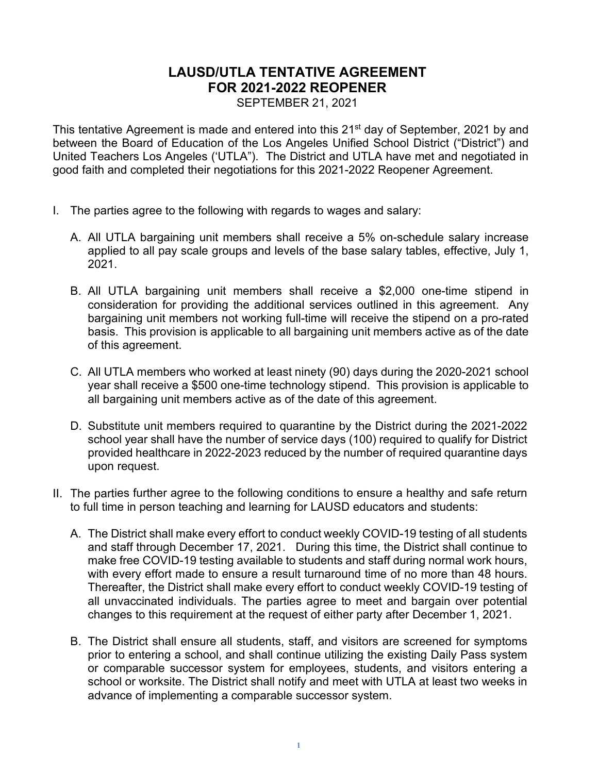# **LAUSD/UTLA TENTATIVE AGREEMENT FOR 2021-2022 REOPENER**

SEPTEMBER 21, 2021

This tentative Agreement is made and entered into this 21<sup>st</sup> day of September, 2021 by and between the Board of Education of the Los Angeles Unified School District ("District") and United Teachers Los Angeles ('UTLA"). The District and UTLA have met and negotiated in good faith and completed their negotiations for this 2021-2022 Reopener Agreement.

- I. The parties agree to the following with regards to wages and salary:
	- A. All UTLA bargaining unit members shall receive a 5% on-schedule salary increase applied to all pay scale groups and levels of the base salary tables, effective, July 1, 2021.
	- B. All UTLA bargaining unit members shall receive a \$2,000 one-time stipend in consideration for providing the additional services outlined in this agreement. Any bargaining unit members not working full-time will receive the stipend on a pro-rated basis. This provision is applicable to all bargaining unit members active as of the date of this agreement.
	- C. All UTLA members who worked at least ninety (90) days during the 2020-2021 school year shall receive a \$500 one-time technology stipend. This provision is applicable to all bargaining unit members active as of the date of this agreement.
	- D. Substitute unit members required to quarantine by the District during the 2021-2022 school year shall have the number of service days (100) required to qualify for District provided healthcare in 2022-2023 reduced by the number of required quarantine days upon request.
- II. The parties further agree to the following conditions to ensure a healthy and safe return to full time in person teaching and learning for LAUSD educators and students:
	- A. The District shall make every effort to conduct weekly COVID-19 testing of all students and staff through December 17, 2021. During this time, the District shall continue to make free COVID-19 testing available to students and staff during normal work hours, with every effort made to ensure a result turnaround time of no more than 48 hours. Thereafter, the District shall make every effort to conduct weekly COVID-19 testing of all unvaccinated individuals. The parties agree to meet and bargain over potential changes to this requirement at the request of either party after December 1, 2021.
	- B. The District shall ensure all students, staff, and visitors are screened for symptoms prior to entering a school, and shall continue utilizing the existing Daily Pass system or comparable successor system for employees, students, and visitors entering a school or worksite. The District shall notify and meet with UTLA at least two weeks in advance of implementing a comparable successor system.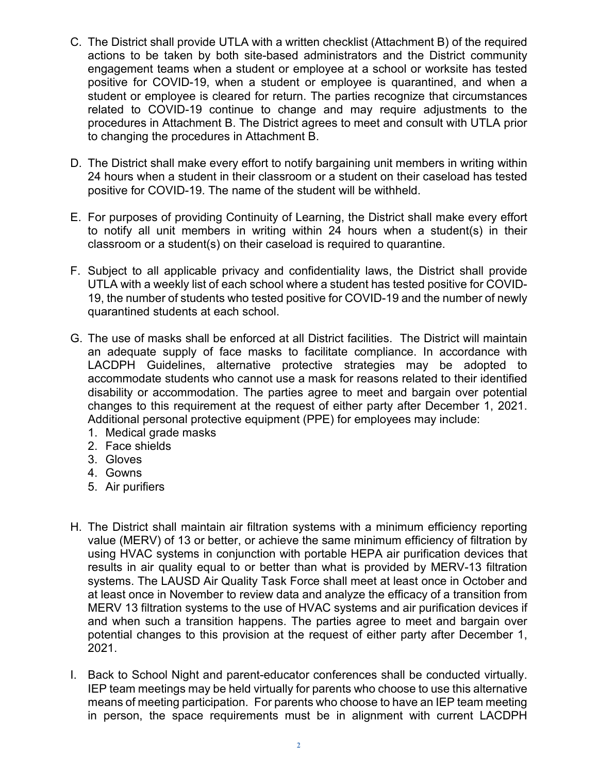- C. The District shall provide UTLA with a written checklist (Attachment B) of the required actions to be taken by both site-based administrators and the District community engagement teams when a student or employee at a school or worksite has tested positive for COVID-19, when a student or employee is quarantined, and when a student or employee is cleared for return. The parties recognize that circumstances related to COVID-19 continue to change and may require adjustments to the procedures in Attachment B. The District agrees to meet and consult with UTLA prior to changing the procedures in Attachment B.
- D. The District shall make every effort to notify bargaining unit members in writing within 24 hours when a student in their classroom or a student on their caseload has tested positive for COVID-19. The name of the student will be withheld.
- E. For purposes of providing Continuity of Learning, the District shall make every effort to notify all unit members in writing within 24 hours when a student(s) in their classroom or a student(s) on their caseload is required to quarantine.
- F. Subject to all applicable privacy and confidentiality laws, the District shall provide UTLA with a weekly list of each school where a student has tested positive for COVID-19, the number of students who tested positive for COVID-19 and the number of newly quarantined students at each school.
- G. The use of masks shall be enforced at all District facilities. The District will maintain an adequate supply of face masks to facilitate compliance. In accordance with LACDPH Guidelines, alternative protective strategies may be adopted to accommodate students who cannot use a mask for reasons related to their identified disability or accommodation. The parties agree to meet and bargain over potential changes to this requirement at the request of either party after December 1, 2021. Additional personal protective equipment (PPE) for employees may include:
	- 1. Medical grade masks
	- 2. Face shields
	- 3. Gloves
	- 4. Gowns
	- 5. Air purifiers
- H. The District shall maintain air filtration systems with a minimum efficiency reporting value (MERV) of 13 or better, or achieve the same minimum efficiency of filtration by using HVAC systems in conjunction with portable HEPA air purification devices that results in air quality equal to or better than what is provided by MERV-13 filtration systems. The LAUSD Air Quality Task Force shall meet at least once in October and at least once in November to review data and analyze the efficacy of a transition from MERV 13 filtration systems to the use of HVAC systems and air purification devices if and when such a transition happens. The parties agree to meet and bargain over potential changes to this provision at the request of either party after December 1, 2021.
- I. Back to School Night and parent-educator conferences shall be conducted virtually. IEP team meetings may be held virtually for parents who choose to use this alternative means of meeting participation. For parents who choose to have an IEP team meeting in person, the space requirements must be in alignment with current LACDPH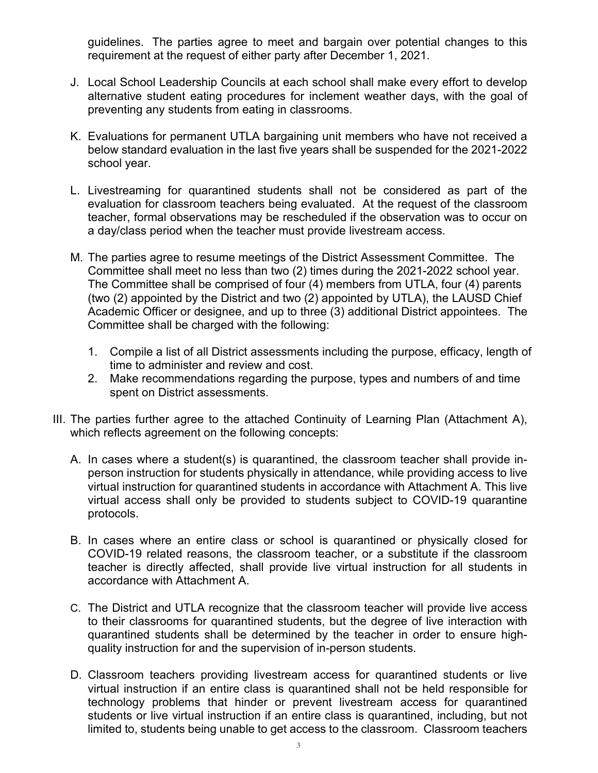guidelines. The parties agree to meet and bargain over potential changes to this requirement at the request of either party after December 1, 2021.

- J. Local School Leadership Councils at each school shall make every effort to develop alternative student eating procedures for inclement weather days, with the goal of preventing any students from eating in classrooms.
- K. Evaluations for permanent UTLA bargaining unit members who have not received a below standard evaluation in the last five years shall be suspended for the 2021-2022 school year.
- L. Livestreaming for quarantined students shall not be considered as part of the evaluation for classroom teachers being evaluated. At the request of the classroom teacher, formal observations may be rescheduled if the observation was to occur on a day/class period when the teacher must provide livestream access.
- M. The parties agree to resume meetings of the District Assessment Committee. The Committee shall meet no less than two (2) times during the 2021-2022 school year. The Committee shall be comprised of four (4) members from UTLA, four (4) parents (two (2) appointed by the District and two (2) appointed by UTLA), the LAUSD Chief Academic Officer or designee, and up to three (3) additional District appointees. The Committee shall be charged with the following:
	- 1. Compile a list of all District assessments including the purpose, efficacy, length of time to administer and review and cost.
	- 2. Make recommendations regarding the purpose, types and numbers of and time spent on District assessments.
- III. The parties further agree to the attached Continuity of Learning Plan (Attachment A), which reflects agreement on the following concepts:
	- A. In cases where a student(s) is quarantined, the classroom teacher shall provide inperson instruction for students physically in attendance, while providing access to live virtual instruction for quarantined students in accordance with Attachment A. This live virtual access shall only be provided to students subject to COVID-19 quarantine protocols.
	- B. In cases where an entire class or school is quarantined or physically closed for COVID-19 related reasons, the classroom teacher, or a substitute if the classroom teacher is directly affected, shall provide live virtual instruction for all students in accordance with Attachment A.
	- C. The District and UTLA recognize that the classroom teacher will provide live access to their classrooms for quarantined students, but the degree of live interaction with quarantined students shall be determined by the teacher in order to ensure highquality instruction for and the supervision of in-person students.
	- D. Classroom teachers providing livestream access for quarantined students or live virtual instruction if an entire class is quarantined shall not be held responsible for technology problems that hinder or prevent livestream access for quarantined students or live virtual instruction if an entire class is quarantined, including, but not limited to, students being unable to get access to the classroom. Classroom teachers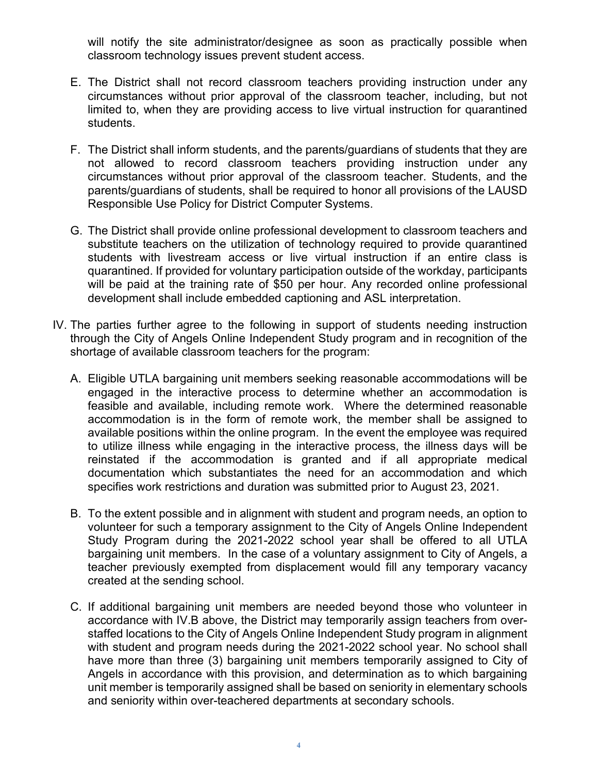will notify the site administrator/designee as soon as practically possible when classroom technology issues prevent student access.

- E. The District shall not record classroom teachers providing instruction under any circumstances without prior approval of the classroom teacher, including, but not limited to, when they are providing access to live virtual instruction for quarantined students.
- F. The District shall inform students, and the parents/guardians of students that they are not allowed to record classroom teachers providing instruction under any circumstances without prior approval of the classroom teacher. Students, and the parents/guardians of students, shall be required to honor all provisions of the LAUSD Responsible Use Policy for District Computer Systems.
- G. The District shall provide online professional development to classroom teachers and substitute teachers on the utilization of technology required to provide quarantined students with livestream access or live virtual instruction if an entire class is quarantined. If provided for voluntary participation outside of the workday, participants will be paid at the training rate of \$50 per hour. Any recorded online professional development shall include embedded captioning and ASL interpretation.
- IV. The parties further agree to the following in support of students needing instruction through the City of Angels Online Independent Study program and in recognition of the shortage of available classroom teachers for the program:
	- A. Eligible UTLA bargaining unit members seeking reasonable accommodations will be engaged in the interactive process to determine whether an accommodation is feasible and available, including remote work. Where the determined reasonable accommodation is in the form of remote work, the member shall be assigned to available positions within the online program. In the event the employee was required to utilize illness while engaging in the interactive process, the illness days will be reinstated if the accommodation is granted and if all appropriate medical documentation which substantiates the need for an accommodation and which specifies work restrictions and duration was submitted prior to August 23, 2021.
	- B. To the extent possible and in alignment with student and program needs, an option to volunteer for such a temporary assignment to the City of Angels Online Independent Study Program during the 2021-2022 school year shall be offered to all UTLA bargaining unit members. In the case of a voluntary assignment to City of Angels, a teacher previously exempted from displacement would fill any temporary vacancy created at the sending school.
	- C. If additional bargaining unit members are needed beyond those who volunteer in accordance with IV.B above, the District may temporarily assign teachers from overstaffed locations to the City of Angels Online Independent Study program in alignment with student and program needs during the 2021-2022 school year. No school shall have more than three (3) bargaining unit members temporarily assigned to City of Angels in accordance with this provision, and determination as to which bargaining unit member is temporarily assigned shall be based on seniority in elementary schools and seniority within over-teachered departments at secondary schools.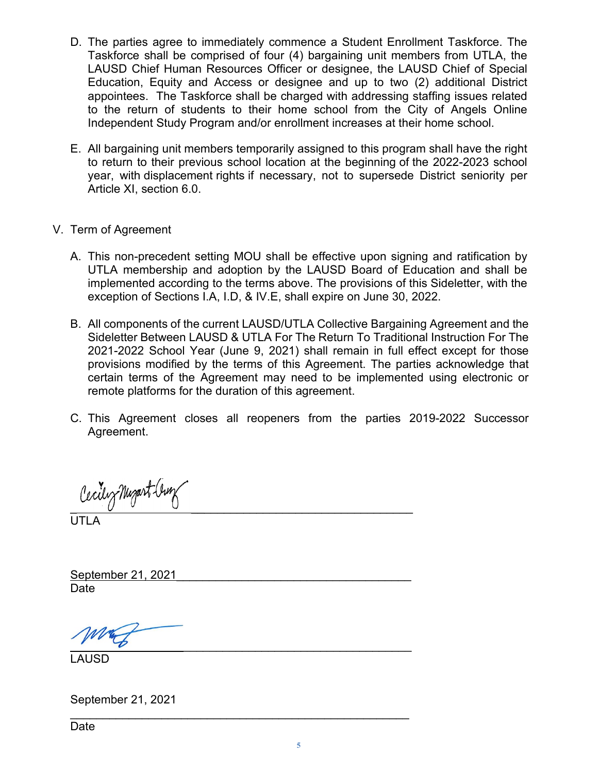- D. The parties agree to immediately commence a Student Enrollment Taskforce. The Taskforce shall be comprised of four (4) bargaining unit members from UTLA, the LAUSD Chief Human Resources Officer or designee, the LAUSD Chief of Special Education, Equity and Access or designee and up to two (2) additional District appointees. The Taskforce shall be charged with addressing staffing issues related to the return of students to their home school from the City of Angels Online Independent Study Program and/or enrollment increases at their home school.
- E. All bargaining unit members temporarily assigned to this program shall have the right to return to their previous school location at the beginning of the 2022-2023 school year, with displacement rights if necessary, not to supersede District seniority per Article XI, section 6.0.
- V. Term of Agreement
	- A. This non-precedent setting MOU shall be effective upon signing and ratification by UTLA membership and adoption by the LAUSD Board of Education and shall be implemented according to the terms above. The provisions of this Sideletter, with the exception of Sections I.A, I.D, & IV.E, shall expire on June 30, 2022.
	- B. All components of the current LAUSD/UTLA Collective Bargaining Agreement and the Sideletter Between LAUSD & UTLA For The Return To Traditional Instruction For The 2021-2022 School Year (June 9, 2021) shall remain in full effect except for those provisions modified by the terms of this Agreement. The parties acknowledge that certain terms of the Agreement may need to be implemented using electronic or remote platforms for the duration of this agreement.
	- C. This Agreement closes all reopeners from the parties 2019-2022 Successor Agreement.

Cecilez Nugart (burg

UTLA

September 21, 2021 Date

\_\_\_\_\_\_\_\_\_\_\_\_\_\_\_\_\_\_\_\_\_\_\_\_\_\_\_\_\_\_\_\_\_\_\_\_\_\_\_\_\_\_\_\_\_\_\_\_\_\_\_\_

LAUSD

September 21, 2021

Date

\_\_\_\_\_\_\_\_\_\_\_\_\_\_\_\_\_\_\_\_\_\_\_\_\_\_\_\_\_\_\_\_\_\_\_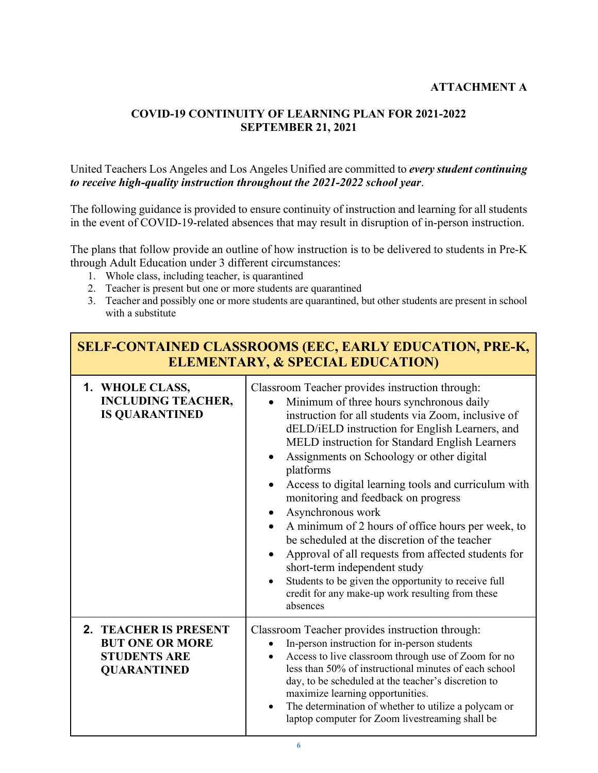## **ATTACHMENT A**

٦

### **COVID-19 CONTINUITY OF LEARNING PLAN FOR 2021-2022 SEPTEMBER 21, 2021**

### United Teachers Los Angeles and Los Angeles Unified are committed to *every student continuing to receive high-quality instruction throughout the 2021-2022 school year*.

The following guidance is provided to ensure continuity of instruction and learning for all students in the event of COVID-19-related absences that may result in disruption of in-person instruction.

The plans that follow provide an outline of how instruction is to be delivered to students in Pre-K through Adult Education under 3 different circumstances:

- 1. Whole class, including teacher, is quarantined
- 2. Teacher is present but one or more students are quarantined
- 3. Teacher and possibly one or more students are quarantined, but other students are present in school with a substitute

| <b>SELF-CONTAINED CLASSROOMS (EEC, EARLY EDUCATION, PRE-K,</b><br><b>ELEMENTARY, &amp; SPECIAL EDUCATION)</b> |                                                                                                                                                                                                                                                                                                                                                                                                                                                                                                                                                                                                                                                                                                                                                            |
|---------------------------------------------------------------------------------------------------------------|------------------------------------------------------------------------------------------------------------------------------------------------------------------------------------------------------------------------------------------------------------------------------------------------------------------------------------------------------------------------------------------------------------------------------------------------------------------------------------------------------------------------------------------------------------------------------------------------------------------------------------------------------------------------------------------------------------------------------------------------------------|
| 1. WHOLE CLASS,<br><b>INCLUDING TEACHER,</b><br><b>IS QUARANTINED</b>                                         | Classroom Teacher provides instruction through:<br>Minimum of three hours synchronous daily<br>instruction for all students via Zoom, inclusive of<br>dELD/iELD instruction for English Learners, and<br>MELD instruction for Standard English Learners<br>Assignments on Schoology or other digital<br>platforms<br>Access to digital learning tools and curriculum with<br>monitoring and feedback on progress<br>Asynchronous work<br>A minimum of 2 hours of office hours per week, to<br>be scheduled at the discretion of the teacher<br>Approval of all requests from affected students for<br>short-term independent study<br>Students to be given the opportunity to receive full<br>credit for any make-up work resulting from these<br>absences |
| 2. TEACHER IS PRESENT<br><b>BUT ONE OR MORE</b><br><b>STUDENTS ARE</b><br><b>QUARANTINED</b>                  | Classroom Teacher provides instruction through:<br>In-person instruction for in-person students<br>$\bullet$<br>Access to live classroom through use of Zoom for no<br>less than 50% of instructional minutes of each school<br>day, to be scheduled at the teacher's discretion to<br>maximize learning opportunities.<br>The determination of whether to utilize a polycam or<br>laptop computer for Zoom livestreaming shall be                                                                                                                                                                                                                                                                                                                         |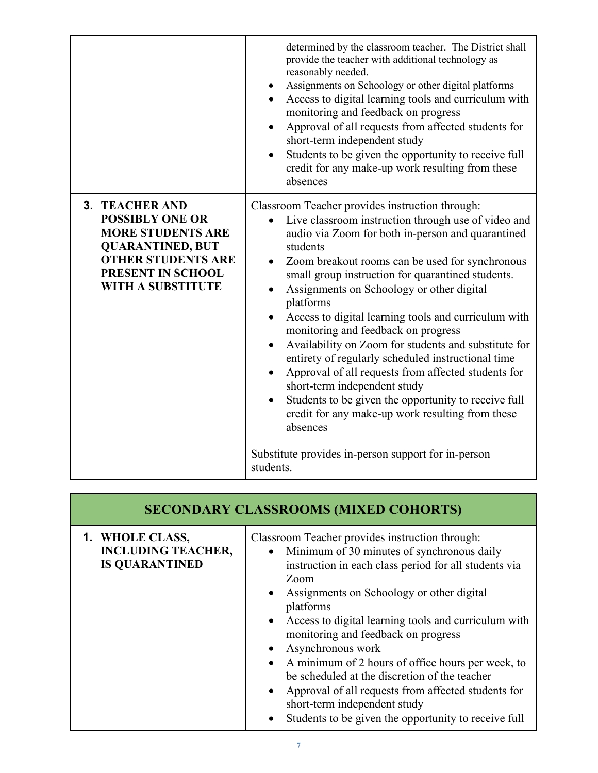|                                                                                                                                                                                      | determined by the classroom teacher. The District shall<br>provide the teacher with additional technology as<br>reasonably needed.<br>Assignments on Schoology or other digital platforms<br>Access to digital learning tools and curriculum with<br>monitoring and feedback on progress<br>Approval of all requests from affected students for<br>short-term independent study<br>Students to be given the opportunity to receive full<br>credit for any make-up work resulting from these<br>absences                                                                                                                                                                                                                                                                                                                                   |
|--------------------------------------------------------------------------------------------------------------------------------------------------------------------------------------|-------------------------------------------------------------------------------------------------------------------------------------------------------------------------------------------------------------------------------------------------------------------------------------------------------------------------------------------------------------------------------------------------------------------------------------------------------------------------------------------------------------------------------------------------------------------------------------------------------------------------------------------------------------------------------------------------------------------------------------------------------------------------------------------------------------------------------------------|
| <b>3. TEACHER AND</b><br><b>POSSIBLY ONE OR</b><br><b>MORE STUDENTS ARE</b><br><b>QUARANTINED, BUT</b><br><b>OTHER STUDENTS ARE</b><br>PRESENT IN SCHOOL<br><b>WITH A SUBSTITUTE</b> | Classroom Teacher provides instruction through:<br>Live classroom instruction through use of video and<br>audio via Zoom for both in-person and quarantined<br>students<br>Zoom breakout rooms can be used for synchronous<br>small group instruction for quarantined students.<br>Assignments on Schoology or other digital<br>platforms<br>Access to digital learning tools and curriculum with<br>monitoring and feedback on progress<br>Availability on Zoom for students and substitute for<br>entirety of regularly scheduled instructional time<br>Approval of all requests from affected students for<br>short-term independent study<br>Students to be given the opportunity to receive full<br>credit for any make-up work resulting from these<br>absences<br>Substitute provides in-person support for in-person<br>students. |

| <b>SECONDARY CLASSROOMS (MIXED COHORTS)</b>                           |                                                                                                                                                                                                                                                                                                                                                                                                                                                                                                                                                                                                                                          |  |
|-----------------------------------------------------------------------|------------------------------------------------------------------------------------------------------------------------------------------------------------------------------------------------------------------------------------------------------------------------------------------------------------------------------------------------------------------------------------------------------------------------------------------------------------------------------------------------------------------------------------------------------------------------------------------------------------------------------------------|--|
| 1. WHOLE CLASS,<br><b>INCLUDING TEACHER,</b><br><b>IS QUARANTINED</b> | Classroom Teacher provides instruction through:<br>Minimum of 30 minutes of synchronous daily<br>$\bullet$<br>instruction in each class period for all students via<br>Zoom<br>Assignments on Schoology or other digital<br>$\bullet$<br>platforms<br>Access to digital learning tools and curriculum with<br>monitoring and feedback on progress<br>Asynchronous work<br>A minimum of 2 hours of office hours per week, to<br>be scheduled at the discretion of the teacher<br>Approval of all requests from affected students for<br>$\bullet$<br>short-term independent study<br>Students to be given the opportunity to receive full |  |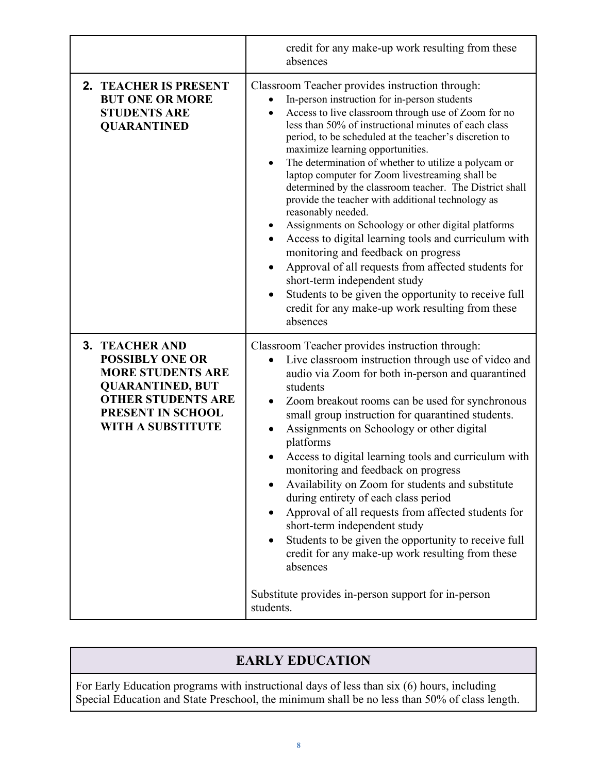|                                                                                                                                                                                      | credit for any make-up work resulting from these<br>absences                                                                                                                                                                                                                                                                                                                                                                                                                                                                                                                                                                                                                                                                                                                                                                                                                                                                                              |
|--------------------------------------------------------------------------------------------------------------------------------------------------------------------------------------|-----------------------------------------------------------------------------------------------------------------------------------------------------------------------------------------------------------------------------------------------------------------------------------------------------------------------------------------------------------------------------------------------------------------------------------------------------------------------------------------------------------------------------------------------------------------------------------------------------------------------------------------------------------------------------------------------------------------------------------------------------------------------------------------------------------------------------------------------------------------------------------------------------------------------------------------------------------|
| 2. TEACHER IS PRESENT<br><b>BUT ONE OR MORE</b><br><b>STUDENTS ARE</b><br><b>QUARANTINED</b>                                                                                         | Classroom Teacher provides instruction through:<br>In-person instruction for in-person students<br>Access to live classroom through use of Zoom for no<br>less than 50% of instructional minutes of each class<br>period, to be scheduled at the teacher's discretion to<br>maximize learning opportunities.<br>The determination of whether to utilize a polycam or<br>laptop computer for Zoom livestreaming shall be<br>determined by the classroom teacher. The District shall<br>provide the teacher with additional technology as<br>reasonably needed.<br>Assignments on Schoology or other digital platforms<br>Access to digital learning tools and curriculum with<br>٠<br>monitoring and feedback on progress<br>Approval of all requests from affected students for<br>$\bullet$<br>short-term independent study<br>Students to be given the opportunity to receive full<br>٠<br>credit for any make-up work resulting from these<br>absences |
| <b>3. TEACHER AND</b><br><b>POSSIBLY ONE OR</b><br><b>MORE STUDENTS ARE</b><br><b>QUARANTINED, BUT</b><br><b>OTHER STUDENTS ARE</b><br>PRESENT IN SCHOOL<br><b>WITH A SUBSTITUTE</b> | Classroom Teacher provides instruction through:<br>Live classroom instruction through use of video and<br>audio via Zoom for both in-person and quarantined<br>students<br>Zoom breakout rooms can be used for synchronous<br>$\bullet$<br>small group instruction for quarantined students.<br>Assignments on Schoology or other digital<br>platforms<br>Access to digital learning tools and curriculum with<br>monitoring and feedback on progress<br>Availability on Zoom for students and substitute<br>during entirety of each class period<br>Approval of all requests from affected students for<br>short-term independent study<br>Students to be given the opportunity to receive full<br>credit for any make-up work resulting from these<br>absences<br>Substitute provides in-person support for in-person<br>students.                                                                                                                      |

# **EARLY EDUCATION**

For Early Education programs with instructional days of less than six (6) hours, including Special Education and State Preschool, the minimum shall be no less than 50% of class length.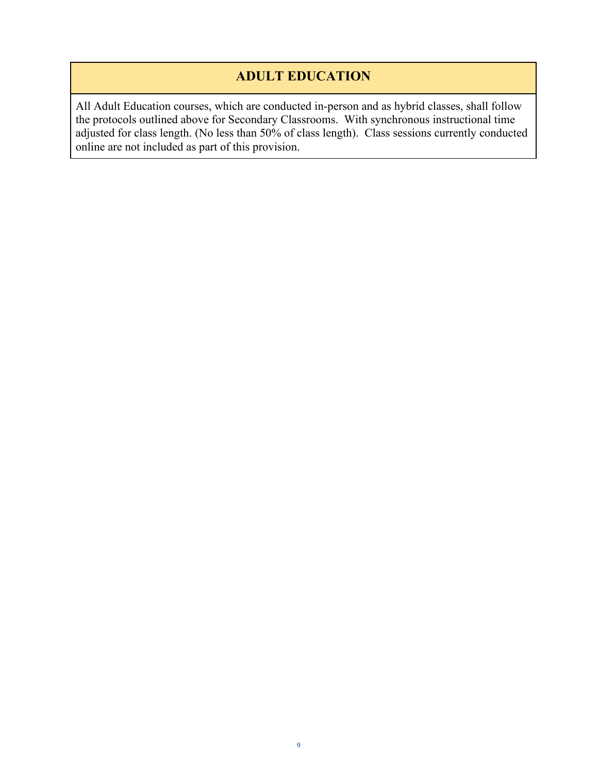# **ADULT EDUCATION**

All Adult Education courses, which are conducted in-person and as hybrid classes, shall follow the protocols outlined above for Secondary Classrooms. With synchronous instructional time adjusted for class length. (No less than 50% of class length). Class sessions currently conducted online are not included as part of this provision.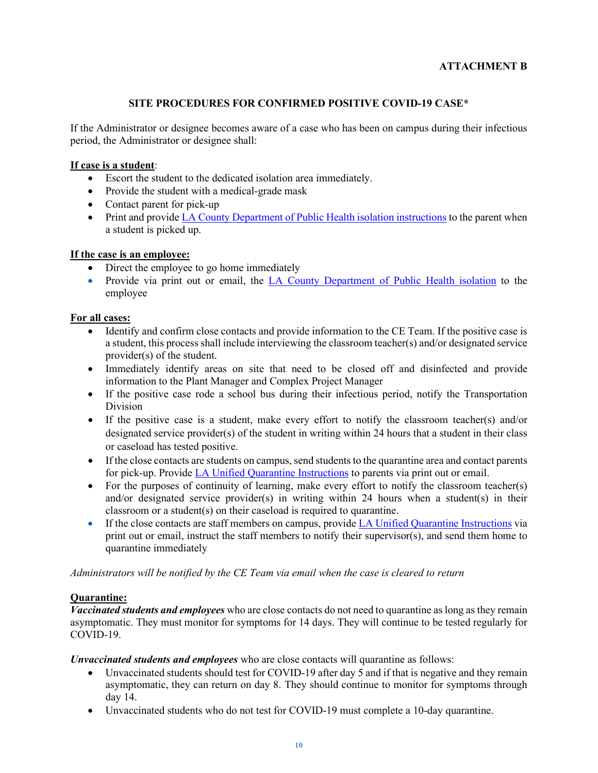#### **ATTACHMENT B**

#### **SITE PROCEDURES FOR CONFIRMED POSITIVE COVID-19 CASE\***

If the Administrator or designee becomes aware of a case who has been on campus during their infectious period, the Administrator or designee shall:

#### **If case is a student**:

- Escort the student to the dedicated isolation area immediately.
- Provide the student with a medical-grade mask
- Contact parent for pick-up
- Print and provide [LA County Department of Public Health isolation instructions](http://publichealth.lacounty.gov/acd/ncorona2019/covidisolation/) to the parent when a student is picked up.

#### **If the case is an employee:**

- Direct the employee to go home immediately
- Provide via print out or email, the [LA County Department of Public Health isolation](http://publichealth.lacounty.gov/acd/ncorona2019/covidisolation/) to the employee

#### **For all cases:**

- Identify and confirm close contacts and provide information to the CE Team. If the positive case is a student, this process shall include interviewing the classroom teacher(s) and/or designated service provider(s) of the student.
- Immediately identify areas on site that need to be closed off and disinfected and provide information to the Plant Manager and Complex Project Manager
- If the positive case rode a school bus during their infectious period, notify the Transportation Division
- If the positive case is a student, make every effort to notify the classroom teacher(s) and/or designated service provider(s) of the student in writing within 24 hours that a student in their class or caseload has tested positive.
- If the close contacts are students on campus, send students to the quarantine area and contact parents for pick-up. Provid[e LA Unified Quarantine Instructions](https://drive.google.com/file/d/1C-03UK-v4YX4ax_XKsbKYJm1M8mgfRAb/view?usp=sharing) to parents via print out or email.
- For the purposes of continuity of learning, make every effort to notify the classroom teacher(s) and/or designated service provider(s) in writing within 24 hours when a student(s) in their classroom or a student(s) on their caseload is required to quarantine.
- If the close contacts are staff members on campus, provide [LA Unified Quarantine Instructions](https://drive.google.com/file/d/1C-03UK-v4YX4ax_XKsbKYJm1M8mgfRAb/view?usp=sharing) via print out or email, instruct the staff members to notify their supervisor(s), and send them home to quarantine immediately

*Administrators will be notified by the CE Team via email when the case is cleared to return*

#### **Quarantine:**

*Vaccinated students and employees* who are close contacts do not need to quarantine as long as they remain asymptomatic. They must monitor for symptoms for 14 days. They will continue to be tested regularly for COVID-19.

*Unvaccinated students and employees* who are close contacts will quarantine as follows:

- Unvaccinated students should test for COVID-19 after day 5 and if that is negative and they remain asymptomatic, they can return on day 8. They should continue to monitor for symptoms through day 14.
- Unvaccinated students who do not test for COVID-19 must complete a 10-day quarantine.